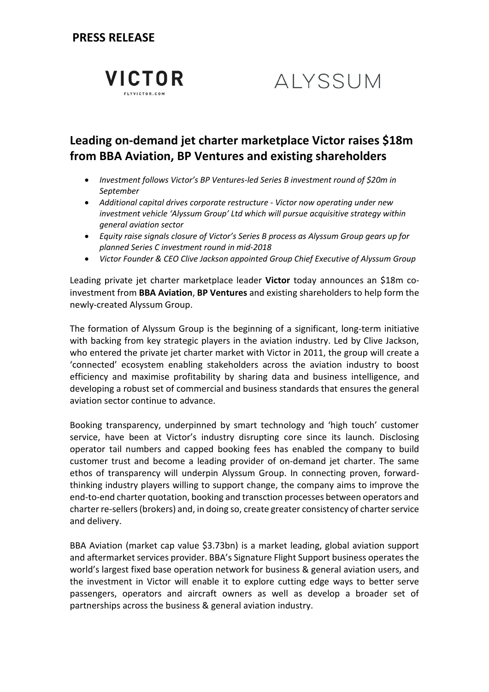**VICTOR** FLYVICTOR.COM

# ALYSSUM

## **Leading on-demand jet charter marketplace Victor raises \$18m from BBA Aviation, BP Ventures and existing shareholders**

- *Investment follows Victor's BP Ventures-led Series B investment round of \$20m in September*
- *Additional capital drives corporate restructure - Victor now operating under new investment vehicle 'Alyssum Group' Ltd which will pursue acquisitive strategy within general aviation sector*
- *Equity raise signals closure of Victor's Series B process as Alyssum Group gears up for planned Series C investment round in mid-2018*
- *Victor Founder & CEO Clive Jackson appointed Group Chief Executive of Alyssum Group*

Leading private jet charter marketplace leader **[Victor](https://www.flyvictor.com/en-gb/)** today announces an \$18m coinvestment from **[BBA Aviation](http://www.bbaaviation.com/)**, **[BP Ventures](http://www.bp.com/en/global/corporate/what-we-do/venturing.html)** and existing shareholders to help form the newly-created Alyssum Group.

The formation of Alyssum Group is the beginning of a significant, long-term initiative with backing from key strategic players in the aviation industry. Led by Clive Jackson, who entered the private jet charter market with Victor in 2011, the group will create a 'connected' ecosystem enabling stakeholders across the aviation industry to boost efficiency and maximise profitability by sharing data and business intelligence, and developing a robust set of commercial and business standards that ensures the general aviation sector continue to advance.

Booking transparency, underpinned by smart technology and 'high touch' customer service, have been at Victor's industry disrupting core since its launch. Disclosing operator tail numbers and capped booking fees has enabled the company to build customer trust and become a leading provider of on-demand jet charter. The same ethos of transparency will underpin Alyssum Group. In connecting proven, forwardthinking industry players willing to support change, the company aims to improve the end-to-end charter quotation, booking and transction processes between operators and charter re-sellers(brokers) and, in doing so, create greater consistency of charter service and delivery.

BBA Aviation (market cap value \$3.73bn) is a market leading, global aviation support and aftermarket services provider. BBA's Signature Flight Support business operates the world's largest fixed base operation network for business & general aviation users, and the investment in Victor will enable it to explore cutting edge ways to better serve passengers, operators and aircraft owners as well as develop a broader set of partnerships across the business & general aviation industry.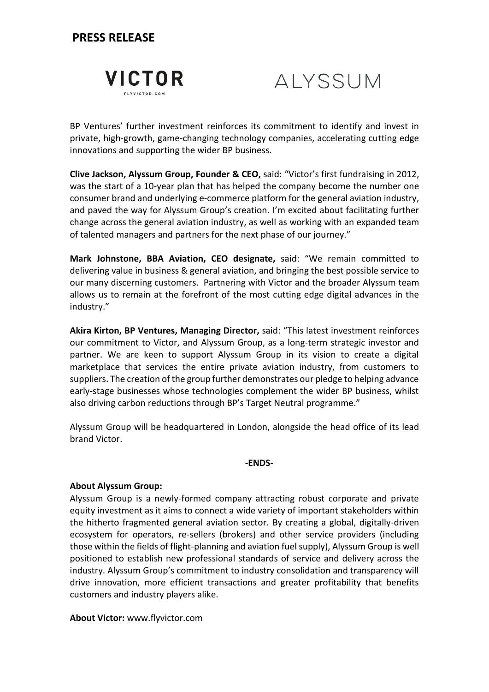## **PRESS RELEASE**

|  | FLYVICTOR.COM |  |  |
|--|---------------|--|--|



BP Ventures' further investment reinforces its commitment to identify and invest in private, high-growth, game-changing technology companies, accelerating cutting edge innovations and supporting the wider BP business.

**Clive Jackson, Alyssum Group, Founder & CEO,** said: "Victor's first fundraising in 2012, was the start of a 10-year plan that has helped the company become the number one consumer brand and underlying e-commerce platform for the general aviation industry, and paved the way for Alyssum Group's creation. I'm excited about facilitating further change across the general aviation industry, as well as working with an expanded team of talented managers and partners for the next phase of our journey."

**Mark Johnstone, BBA Aviation, CEO designate,** said: "We remain committed to delivering value in business & general aviation, and bringing the best possible service to our many discerning customers. Partnering with Victor and the broader Alyssum team allows us to remain at the forefront of the most cutting edge digital advances in the industry."

**Akira Kirton, BP Ventures, Managing Director,** said: "This latest investment reinforces our commitment to Victor, and Alyssum Group, as a long-term strategic investor and partner. We are keen to support Alyssum Group in its vision to create a digital marketplace that services the entire private aviation industry, from customers to suppliers. The creation of the group further demonstrates our pledge to helping advance early-stage businesses whose technologies complement the wider BP business, whilst also driving carbon reductions through BP's Target Neutral programme."

Alyssum Group will be headquartered in London, alongside the head office of its lead brand Victor.

**-ENDS-**

#### **About Alyssum Group:**

Alyssum Group is a newly-formed company attracting robust corporate and private equity investment as it aims to connect a wide variety of important stakeholders within the hitherto fragmented general aviation sector. By creating a global, digitally-driven ecosystem for operators, re-sellers (brokers) and other service providers (including those within the fields of flight-planning and aviation fuel supply), Alyssum Group is well positioned to establish new professional standards of service and delivery across the industry. Alyssum Group's commitment to industry consolidation and transparency will drive innovation, more efficient transactions and greater profitability that benefits customers and industry players alike.

**About Victor:** [www.flyvictor.com](http://www.flyvictor.com/)